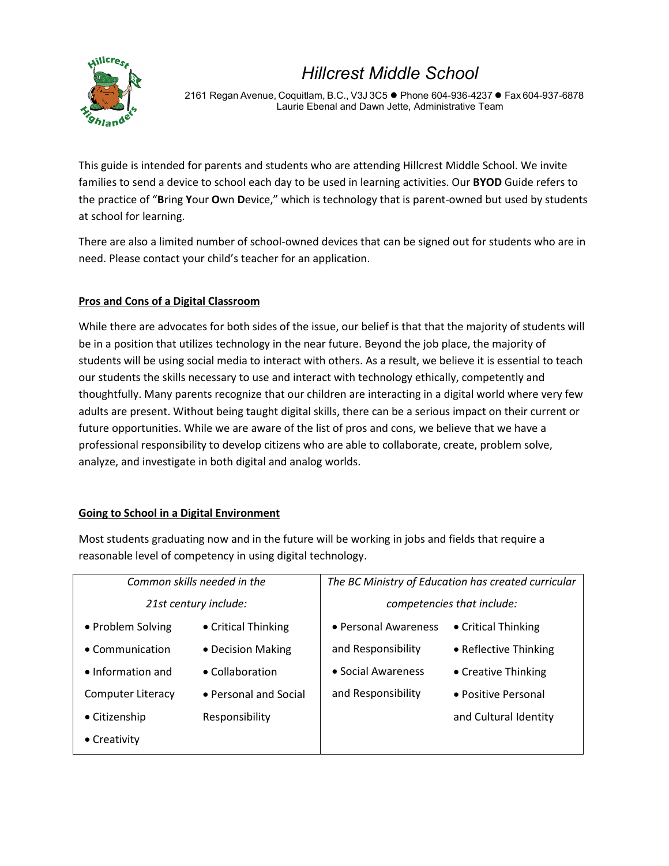

2161 Regan Avenue, Coquitlam, B.C., V3J 3C5 ● Phone 604-936-4237 ● Fax 604-937-6878 Laurie Ebenal and Dawn Jette, Administrative Team

This guide is intended for parents and students who are attending Hillcrest Middle School. We invite families to send a device to school each day to be used in learning activities. Our **BYOD** Guide refers to the practice of "**B**ring **Y**our **O**wn **D**evice," which is technology that is parent-owned but used by students at school for learning.

There are also a limited number of school-owned devices that can be signed out for students who are in need. Please contact your child's teacher for an application.

# **Pros and Cons of a Digital Classroom**

While there are advocates for both sides of the issue, our belief is that that the majority of students will be in a position that utilizes technology in the near future. Beyond the job place, the majority of students will be using social media to interact with others. As a result, we believe it is essential to teach our students the skills necessary to use and interact with technology ethically, competently and thoughtfully. Many parents recognize that our children are interacting in a digital world where very few adults are present. Without being taught digital skills, there can be a serious impact on their current or future opportunities. While we are aware of the list of pros and cons, we believe that we have a professional responsibility to develop citizens who are able to collaborate, create, problem solve, analyze, and investigate in both digital and analog worlds.

# **Going to School in a Digital Environment**

Most students graduating now and in the future will be working in jobs and fields that require a reasonable level of competency in using digital technology.

| Common skills needed in the |                       | The BC Ministry of Education has created curricular |                       |
|-----------------------------|-----------------------|-----------------------------------------------------|-----------------------|
| 21st century include:       |                       | competencies that include:                          |                       |
| • Problem Solving           | • Critical Thinking   | • Personal Awareness                                | • Critical Thinking   |
| $\bullet$ Communication     | • Decision Making     | and Responsibility                                  | • Reflective Thinking |
| $\bullet$ Information and   | • Collaboration       | • Social Awareness                                  | • Creative Thinking   |
| Computer Literacy           | • Personal and Social | and Responsibility                                  | • Positive Personal   |
| • Citizenship               | Responsibility        |                                                     | and Cultural Identity |
| $\bullet$ Creativity        |                       |                                                     |                       |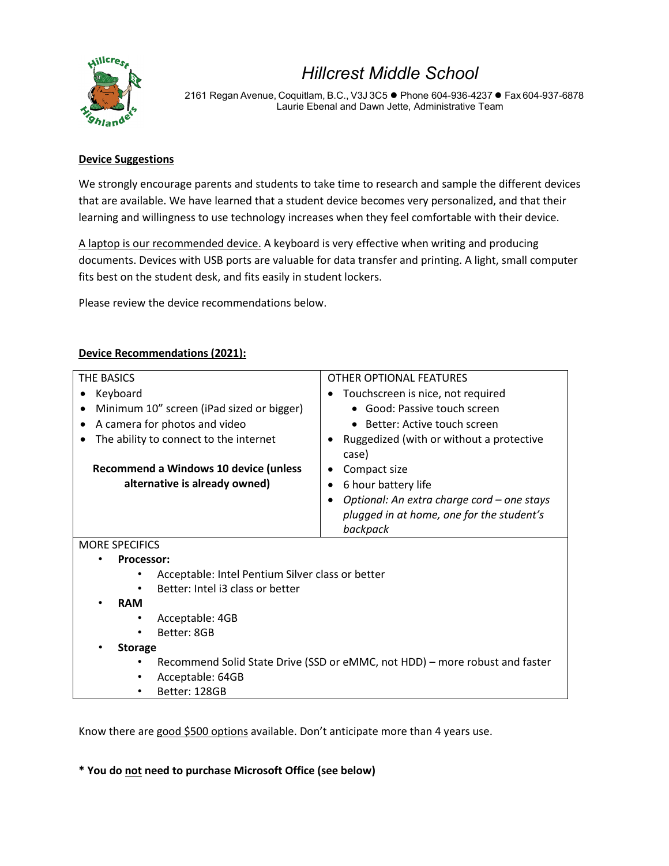

2161 Regan Avenue, Coquitlam, B.C., V3J 3C5 · Phone 604-936-4237 · Fax 604-937-6878 Laurie Ebenal and Dawn Jette, Administrative Team

### **Device Suggestions**

We strongly encourage parents and students to take time to research and sample the different devices that are available. We have learned that a student device becomes very personalized, and that their learning and willingness to use technology increases when they feel comfortable with their device.

A laptop is our recommended device. A keyboard is very effective when writing and producing documents. Devices with USB ports are valuable for data transfer and printing. A light, small computer fits best on the student desk, and fits easily in student lockers.

Please review the device recommendations below.

| THE BASICS                                                                  |                                                                                                     |  |  |
|-----------------------------------------------------------------------------|-----------------------------------------------------------------------------------------------------|--|--|
|                                                                             | <b>OTHER OPTIONAL FEATURES</b>                                                                      |  |  |
| Keyboard                                                                    | Touchscreen is nice, not required                                                                   |  |  |
| Minimum 10" screen (iPad sized or bigger)<br>٠                              | • Good: Passive touch screen                                                                        |  |  |
| A camera for photos and video<br>٠                                          | • Better: Active touch screen                                                                       |  |  |
| The ability to connect to the internet                                      | Ruggedized (with or without a protective<br>case)                                                   |  |  |
| Recommend a Windows 10 device (unless                                       | Compact size                                                                                        |  |  |
| alternative is already owned)                                               | 6 hour battery life                                                                                 |  |  |
|                                                                             | Optional: An extra charge cord - one stays<br>plugged in at home, one for the student's<br>backpack |  |  |
| <b>MORE SPECIFICS</b>                                                       |                                                                                                     |  |  |
| <b>Processor:</b>                                                           |                                                                                                     |  |  |
|                                                                             | Acceptable: Intel Pentium Silver class or better                                                    |  |  |
| Better: Intel i3 class or better                                            |                                                                                                     |  |  |
| <b>RAM</b>                                                                  |                                                                                                     |  |  |
| Acceptable: 4GB                                                             |                                                                                                     |  |  |
| Better: 8GB                                                                 |                                                                                                     |  |  |
| <b>Storage</b>                                                              |                                                                                                     |  |  |
|                                                                             |                                                                                                     |  |  |
| Recommend Solid State Drive (SSD or eMMC, not HDD) – more robust and faster |                                                                                                     |  |  |
| Acceptable: 64GB                                                            |                                                                                                     |  |  |
| Better: 128GB                                                               |                                                                                                     |  |  |

### **Device Recommendations (2021):**

Know there are good \$500 options available. Don't anticipate more than 4 years use.

**\* You do not need to purchase Microsoft Office (see below)**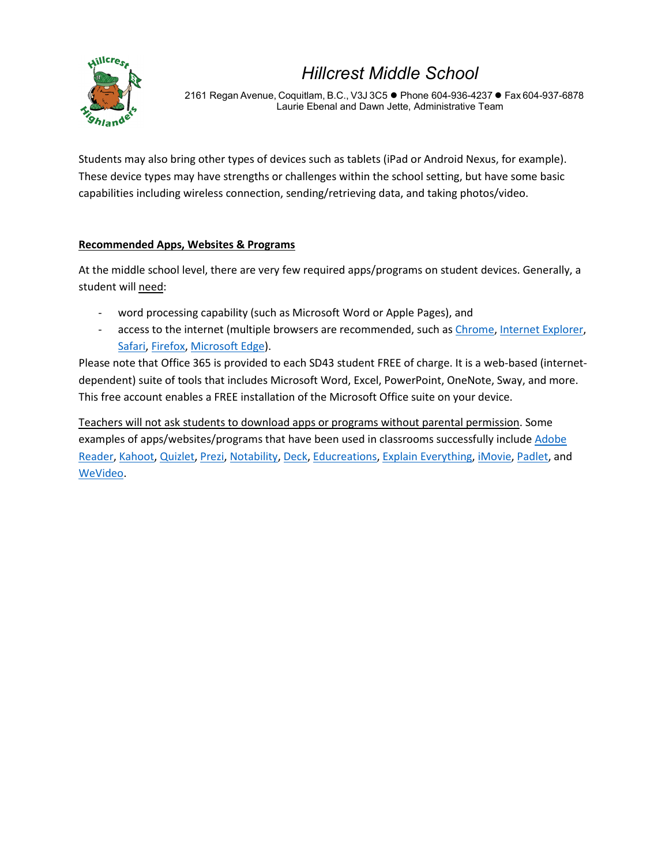

2161 Regan Avenue, Coquitlam, B.C., V3J 3C5 · Phone 604-936-4237 · Fax 604-937-6878 Laurie Ebenal and Dawn Jette, Administrative Team

Students may also bring other types of devices such as tablets (iPad or Android Nexus, for example). These device types may have strengths or challenges within the school setting, but have some basic capabilities including wireless connection, sending/retrieving data, and taking photos/video.

### **Recommended Apps, Websites & Programs**

At the middle school level, there are very few required apps/programs on student devices. Generally, a student will need:

- word processing capability (such as Microsoft Word or Apple Pages), and
- access to the internet (multiple browsers are recommended, such as [Chrome,](https://www.google.com/chrome/browser/desktop/index.html) [Internet Explorer,](https://www.microsoft.com/en-ca/download/internet-explorer.aspx) [Safari,](https://support.apple.com/downloads/safari) [Firefox,](https://www.mozilla.org/en-US/firefox/) [Microsoft Edge\)](https://www.microsoft.com/en-ca/windows/microsoft-edge).

Please note that Office 365 is provided to each SD43 student FREE of charge. It is a web-based (internetdependent) suite of tools that includes Microsoft Word, Excel, PowerPoint, OneNote, Sway, and more. This free account enables a FREE installation of the Microsoft Office suite on your device.

Teachers will not ask students to download apps or programs without parental permission. Some examples of apps/websites/programs that have been used in classrooms successfully includ[e Adobe](https://get.adobe.com/reader/)  [Reader,](https://get.adobe.com/reader/) [Kahoot,](https://kahoot.com/what-is-kahoot/) [Quizlet,](https://quizlet.com/) [Prezi,](https://prezi.com/) [Notability,](http://gingerlabs.com/) [Deck,](http://www.deck.in/) [Educreations,](https://www.educreations.com/) [Explain Everything,](https://explaineverything.com/) [iMovie,](https://www.apple.com/ca/imovie/) [Padlet,](https://padlet.com/) and [WeVideo.](https://www.wevideo.com/)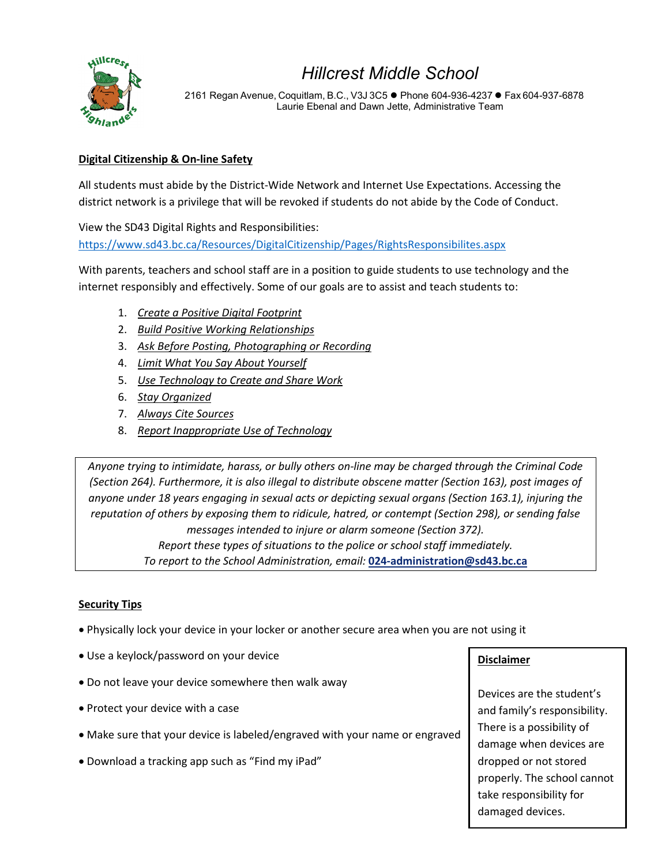

2161 Regan Avenue, Coquitlam, B.C., V3J 3C5 ● Phone 604-936-4237 ● Fax 604-937-6878 Laurie Ebenal and Dawn Jette, Administrative Team

# **Digital Citizenship & On-line Safety**

All students must abide by the District-Wide Network and Internet Use Expectations. Accessing the district network is a privilege that will be revoked if students do not abide by the Code of Conduct.

View the SD43 Digital Rights and Responsibilities:

<https://www.sd43.bc.ca/Resources/DigitalCitizenship/Pages/RightsResponsibilites.aspx>

With parents, teachers and school staff are in a position to guide students to use technology and the internet responsibly and effectively. Some of our goals are to assist and teach students to:

- 1. *Create a Positive Digital Footprint*
- 2. *Build Positive Working Relationships*
- 3. *Ask Before Posting, Photographing or Recording*
- 4. *Limit What You Say About Yourself*
- 5. *Use Technology to Create and Share Work*
- 6. *Stay Organized*
- 7. *Always Cite Sources*
- 8. *Report Inappropriate Use of Technology*

*Anyone trying to intimidate, harass, or bully others on-line may be charged through the Criminal Code (Section 264). Furthermore, it is also illegal to distribute obscene matter (Section 163), post images of anyone under 18 years engaging in sexual acts or depicting sexual organs (Section 163.1), injuring the reputation of others by exposing them to ridicule, hatred, or contempt (Section 298), or sending false messages intended to injure or alarm someone (Section 372). Report these types of situations to the police or school staff immediately. To report to the School Administration, email:* **[024-administration@sd43.bc.ca](mailto:024-administration@sd43.bc.ca)**

#### **Security Tips**

- Physically lock your device in your locker or another secure area when you are not using it
- Use a keylock/password on your device
- Do not leave your device somewhere then walk away
- Protect your device with a case
- Make sure that your device is labeled/engraved with your name or engraved
- Download a tracking app such as "Find my iPad"

# **Disclaimer**

Devices are the student's and family's responsibility. There is a possibility of damage when devices are dropped or not stored properly. The school cannot take responsibility for damaged devices.